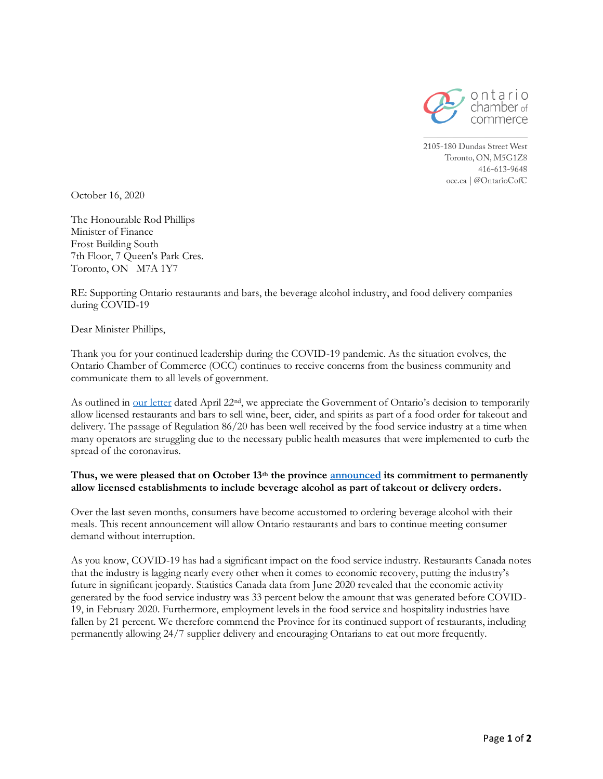

2105-180 Dundas Street West Toronto, ON, M5G1Z8 416-613-9648 occ.ca | @OntarioCofC

October 16, 2020

The Honourable Rod Phillips Minister of Finance Frost Building South 7th Floor, 7 Queen's Park Cres. Toronto, ON M7A 1Y7

RE: Supporting Ontario restaurants and bars, the beverage alcohol industry, and food delivery companies during COVID-19

Dear Minister Phillips,

Thank you for your continued leadership during the COVID-19 pandemic. As the situation evolves, the Ontario Chamber of Commerce (OCC) continues to receive concerns from the business community and communicate them to all levels of government.

As outlined in [our letter](https://occ.ca/wp-content/uploads/Supporting-Ontario%E2%80%99s-beverage-alcohol-industry-during-COVID-19.pdf) dated April 22nd, we appreciate the Government of Ontario's decision to temporarily allow licensed restaurants and bars to sell wine, beer, cider, and spirits as part of a food order for takeout and delivery. The passage of Regulation 86/20 has been well received by the food service industry at a time when many operators are struggling due to the necessary public health measures that were implemented to curb the spread of the coronavirus.

## **Thus, we were pleased that on October 13th the province [announced](https://news.ontario.ca/en/release/58790/ontario-continues-to-support-restaurants-during-covid-19-pandemic) its commitment to permanently allow licensed establishments to include beverage alcohol as part of takeout or delivery orders.**

Over the last seven months, consumers have become accustomed to ordering beverage alcohol with their meals. This recent announcement will allow Ontario restaurants and bars to continue meeting consumer demand without interruption.

As you know, COVID-19 has had a significant impact on the food service industry. Restaurants Canada notes that the industry is lagging nearly every other when it comes to economic recovery, putting the industry's future in significant jeopardy. Statistics Canada data from June 2020 revealed that the economic activity generated by the food service industry was 33 percent below the amount that was generated before COVID-19, in February 2020. Furthermore, employment levels in the food service and hospitality industries have fallen by 21 percent. We therefore commend the Province for its continued support of restaurants, including permanently allowing 24/7 supplier delivery and encouraging Ontarians to eat out more frequently.